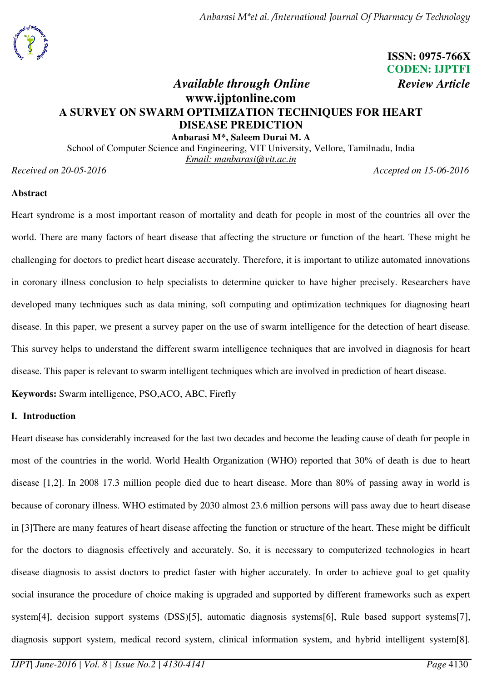# **ISSN: 0975-766X CODEN: IJPTFI**

# *Available through Online Review Article* **www.ijptonline.com A SURVEY ON SWARM OPTIMIZATION TECHNIQUES FOR HEART DISEASE PREDICTION**

**Anbarasi M\*, Saleem Durai M. A**  School of Computer Science and Engineering, VIT University, Vellore, Tamilnadu, India *Email: manbarasi@vit.ac.in* 

*Received on 20-05-2016 Accepted on 15-06-2016* 

# **Abstract**

Heart syndrome is a most important reason of mortality and death for people in most of the countries all over the world. There are many factors of heart disease that affecting the structure or function of the heart. These might be challenging for doctors to predict heart disease accurately. Therefore, it is important to utilize automated innovations in coronary illness conclusion to help specialists to determine quicker to have higher precisely. Researchers have developed many techniques such as data mining, soft computing and optimization techniques for diagnosing heart disease. In this paper, we present a survey paper on the use of swarm intelligence for the detection of heart disease. This survey helps to understand the different swarm intelligence techniques that are involved in diagnosis for heart disease. This paper is relevant to swarm intelligent techniques which are involved in prediction of heart disease.

**Keywords:** Swarm intelligence, PSO,ACO, ABC, Firefly

# **I. Introduction**

Heart disease has considerably increased for the last two decades and become the leading cause of death for people in most of the countries in the world. World Health Organization (WHO) reported that 30% of death is due to heart disease [1,2]. In 2008 17.3 million people died due to heart disease. More than 80% of passing away in world is because of coronary illness. WHO estimated by 2030 almost 23.6 million persons will pass away due to heart disease in [3]There are many features of heart disease affecting the function or structure of the heart. These might be difficult for the doctors to diagnosis effectively and accurately. So, it is necessary to computerized technologies in heart disease diagnosis to assist doctors to predict faster with higher accurately. In order to achieve goal to get quality social insurance the procedure of choice making is upgraded and supported by different frameworks such as expert system[4], decision support systems (DSS)[5], automatic diagnosis systems[6], Rule based support systems[7], diagnosis support system, medical record system, clinical information system, and hybrid intelligent system[8].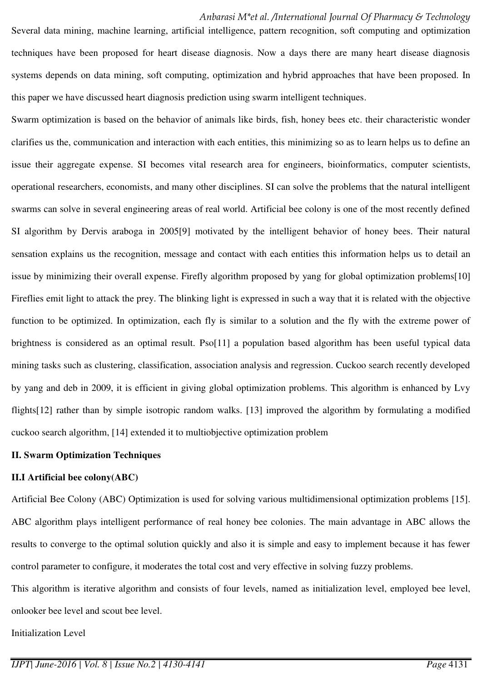Several data mining, machine learning, artificial intelligence, pattern recognition, soft computing and optimization techniques have been proposed for heart disease diagnosis. Now a days there are many heart disease diagnosis systems depends on data mining, soft computing, optimization and hybrid approaches that have been proposed. In this paper we have discussed heart diagnosis prediction using swarm intelligent techniques.

Swarm optimization is based on the behavior of animals like birds, fish, honey bees etc. their characteristic wonder clarifies us the, communication and interaction with each entities, this minimizing so as to learn helps us to define an issue their aggregate expense. SI becomes vital research area for engineers, bioinformatics, computer scientists, operational researchers, economists, and many other disciplines. SI can solve the problems that the natural intelligent swarms can solve in several engineering areas of real world. Artificial bee colony is one of the most recently defined SI algorithm by Dervis araboga in 2005[9] motivated by the intelligent behavior of honey bees. Their natural sensation explains us the recognition, message and contact with each entities this information helps us to detail an issue by minimizing their overall expense. Firefly algorithm proposed by yang for global optimization problems[10] Fireflies emit light to attack the prey. The blinking light is expressed in such a way that it is related with the objective function to be optimized. In optimization, each fly is similar to a solution and the fly with the extreme power of brightness is considered as an optimal result. Pso[11] a population based algorithm has been useful typical data mining tasks such as clustering, classification, association analysis and regression. Cuckoo search recently developed by yang and deb in 2009, it is efficient in giving global optimization problems. This algorithm is enhanced by Lvy flights[12] rather than by simple isotropic random walks. [13] improved the algorithm by formulating a modified cuckoo search algorithm, [14] extended it to multiobjective optimization problem

#### **II. Swarm Optimization Techniques**

#### **II.I Artificial bee colony(ABC)**

Artificial Bee Colony (ABC) Optimization is used for solving various multidimensional optimization problems [15]. ABC algorithm plays intelligent performance of real honey bee colonies. The main advantage in ABC allows the results to converge to the optimal solution quickly and also it is simple and easy to implement because it has fewer control parameter to configure, it moderates the total cost and very effective in solving fuzzy problems.

This algorithm is iterative algorithm and consists of four levels, named as initialization level, employed bee level, onlooker bee level and scout bee level.

Initialization Level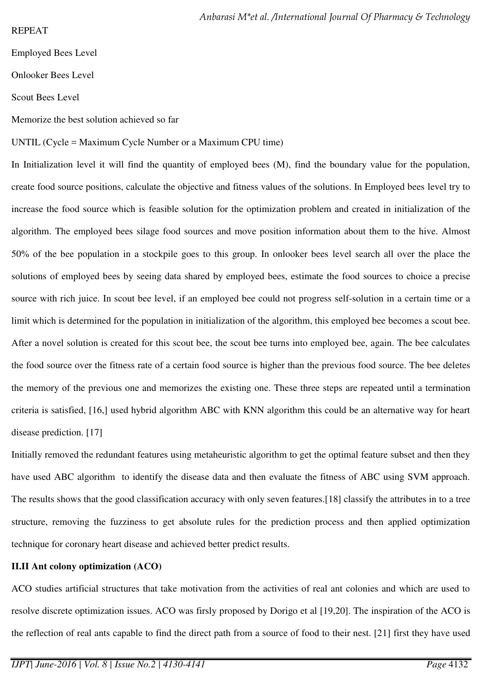# REPEAT

Employed Bees Level

Onlooker Bees Level

Scout Bees Level

Memorize the best solution achieved so far

# UNTIL (Cycle = Maximum Cycle Number or a Maximum CPU time)

In Initialization level it will find the quantity of employed bees  $(M)$ , find the boundary value for the population, create food source positions, calculate the objective and fitness values of the solutions. In Employed bees level try to increase the food source which is feasible solution for the optimization problem and created in initialization of the algorithm. The employed bees silage food sources and move position information about them to the hive. Almost 50% of the bee population in a stockpile goes to this group. In onlooker bees level search all over the place the solutions of employed bees by seeing data shared by employed bees, estimate the food sources to choice a precise source with rich juice. In scout bee level, if an employed bee could not progress self-solution in a certain time or a limit which is determined for the population in initialization of the algorithm, this employed bee becomes a scout bee. After a novel solution is created for this scout bee, the scout bee turns into employed bee, again. The bee calculates the food source over the fitness rate of a certain food source is higher than the previous food source. The bee deletes the memory of the previous one and memorizes the existing one. These three steps are repeated until a termination criteria is satisfied, [16,] used hybrid algorithm ABC with KNN algorithm this could be an alternative way for heart disease prediction. [17]

Initially removed the redundant features using metaheuristic algorithm to get the optimal feature subset and then they have used ABC algorithm to identify the disease data and then evaluate the fitness of ABC using SVM approach. The results shows that the good classification accuracy with only seven features.[18] classify the attributes in to a tree structure, removing the fuzziness to get absolute rules for the prediction process and then applied optimization technique for coronary heart disease and achieved better predict results.

# **II.II Ant colony optimization (ACO)**

ACO studies artificial structures that take motivation from the activities of real ant colonies and which are used to resolve discrete optimization issues. ACO was firsly proposed by Dorigo et al [19,20]. The inspiration of the ACO is the reflection of real ants capable to find the direct path from a source of food to their nest. [21] first they have used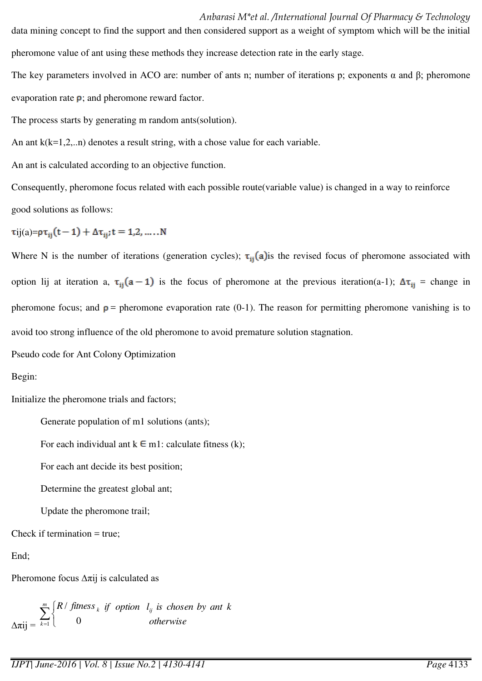data mining concept to find the support and then considered support as a weight of symptom which will be the initial pheromone value of ant using these methods they increase detection rate in the early stage.

The key parameters involved in ACO are: number of ants n; number of iterations p; exponents  $\alpha$  and  $\beta$ ; pheromone evaporation rate  $\rho$ ; and pheromone reward factor.

The process starts by generating m random ants(solution).

An ant  $k(k=1,2...n)$  denotes a result string, with a chose value for each variable.

An ant is calculated according to an objective function.

Consequently, pheromone focus related with each possible route(variable value) is changed in a way to reinforce good solutions as follows:

 $\tau$ ij(a)= $\rho \tau_{ij}(t-1) + \Delta \tau_{ij}$ ; t = 1,2, .....N

Where N is the number of iterations (generation cycles);  $\tau_{ij}(a)$  is the revised focus of pheromone associated with option lij at iteration a,  $\tau_{ij}$  (a - 1) is the focus of pheromone at the previous iteration(a-1);  $\Delta \tau_{ij}$  = change in pheromone focus; and  $p =$  pheromone evaporation rate (0-1). The reason for permitting pheromone vanishing is to avoid too strong influence of the old pheromone to avoid premature solution stagnation.

Pseudo code for Ant Colony Optimization

Begin:

Initialize the pheromone trials and factors;

Generate population of m1 solutions (ants);

For each individual ant  $k \in m1$ : calculate fitness (k);

For each ant decide its best position;

Determine the greatest global ant;

Update the pheromone trail;

Check if termination = true;

End;

Pheromone focus  $\Delta \pi$ ij is calculated as

 $Δπij = \sum_{k=1}^{n} \begin{cases}$  *m k <sup>k</sup> R fitness*  $\frac{1}{1}$  0 / *otherwise if option l is chosen by ant k ij*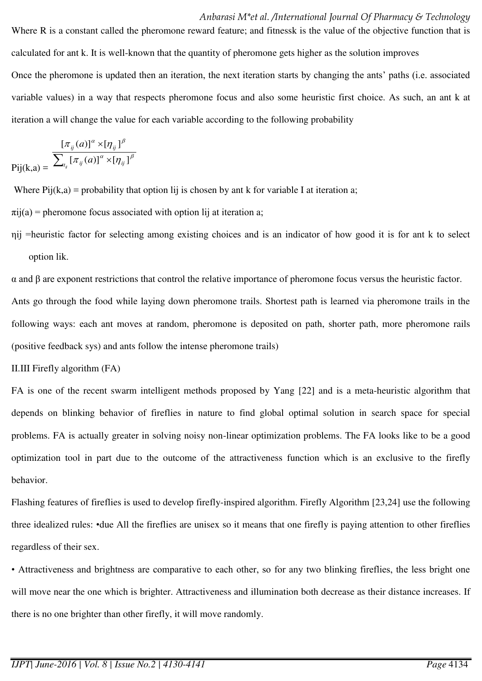calculated for ant k. It is well-known that the quantity of pheromone gets higher as the solution improves Once the pheromone is updated then an iteration, the next iteration starts by changing the ants' paths (i.e. associated variable values) in a way that respects pheromone focus and also some heuristic first choice. As such, an ant k at iteration a will change the value for each variable according to the following probability

Where R is a constant called the pheromone reward feature; and fitnessk is the value of the objective function that is

$$
\text{Pij}(k,a) = \frac{\left[\pi_{ij}(a)\right]^{\alpha} \times \left[\eta_{ij}\right]^{\beta}}{\sum_{t_{ij}} \left[\pi_{ij}(a)\right]^{\alpha} \times \left[\eta_{ij}\right]^{\beta}}
$$

Where  $Pij(k,a)$  = probability that option lij is chosen by ant k for variable I at iteration a;

 $\pi$ ij(a) = pheromone focus associated with option lij at iteration a;

ηij =heuristic factor for selecting among existing choices and is an indicator of how good it is for ant k to select option lik.

α and β are exponent restrictions that control the relative importance of pheromone focus versus the heuristic factor. Ants go through the food while laying down pheromone trails. Shortest path is learned via pheromone trails in the following ways: each ant moves at random, pheromone is deposited on path, shorter path, more pheromone rails (positive feedback sys) and ants follow the intense pheromone trails)

II.III Firefly algorithm (FA)

FA is one of the recent swarm intelligent methods proposed by Yang [22] and is a meta-heuristic algorithm that depends on blinking behavior of fireflies in nature to find global optimal solution in search space for special problems. FA is actually greater in solving noisy non-linear optimization problems. The FA looks like to be a good optimization tool in part due to the outcome of the attractiveness function which is an exclusive to the firefly behavior.

Flashing features of fireflies is used to develop firefly-inspired algorithm. Firefly Algorithm [23,24] use the following three idealized rules: •due All the fireflies are unisex so it means that one firefly is paying attention to other fireflies regardless of their sex.

• Attractiveness and brightness are comparative to each other, so for any two blinking fireflies, the less bright one will move near the one which is brighter. Attractiveness and illumination both decrease as their distance increases. If there is no one brighter than other firefly, it will move randomly.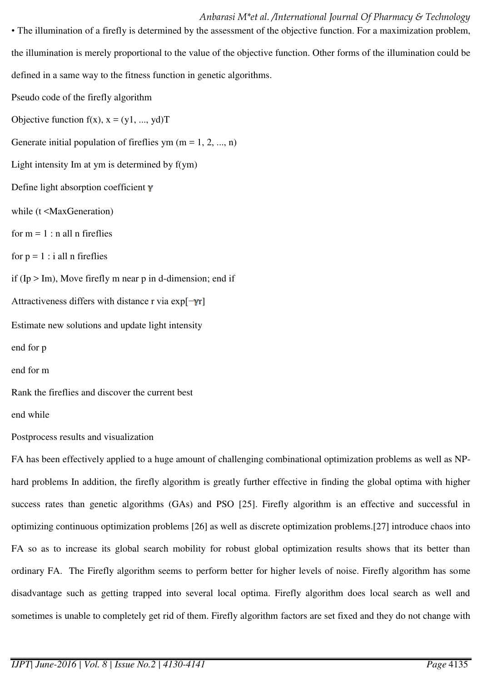• The illumination of a firefly is determined by the assessment of the objective function. For a maximization problem, the illumination is merely proportional to the value of the objective function. Other forms of the illumination could be defined in a same way to the fitness function in genetic algorithms.

Pseudo code of the firefly algorithm

Objective function  $f(x)$ ,  $x = (y1, ..., yd)T$ 

Generate initial population of fireflies ym  $(m = 1, 2, ..., n)$ 

Light intensity Im at ym is determined by f(ym)

Define light absorption coefficient  $\gamma$ 

while (t <MaxGeneration)

for  $m = 1$ : n all n fireflies

for  $p = 1$ : i all n fireflies

if  $(Ip > Im)$ , Move firefly m near p in d-dimension; end if

Attractiveness differs with distance r via  $exp[-\gamma r]$ 

Estimate new solutions and update light intensity

end for p

end for m

Rank the fireflies and discover the current best

end while

Postprocess results and visualization

FA has been effectively applied to a huge amount of challenging combinational optimization problems as well as NPhard problems In addition, the firefly algorithm is greatly further effective in finding the global optima with higher success rates than genetic algorithms (GAs) and PSO [25]. Firefly algorithm is an effective and successful in optimizing continuous optimization problems [26] as well as discrete optimization problems.[27] introduce chaos into FA so as to increase its global search mobility for robust global optimization results shows that its better than ordinary FA. The Firefly algorithm seems to perform better for higher levels of noise. Firefly algorithm has some disadvantage such as getting trapped into several local optima. Firefly algorithm does local search as well and sometimes is unable to completely get rid of them. Firefly algorithm factors are set fixed and they do not change with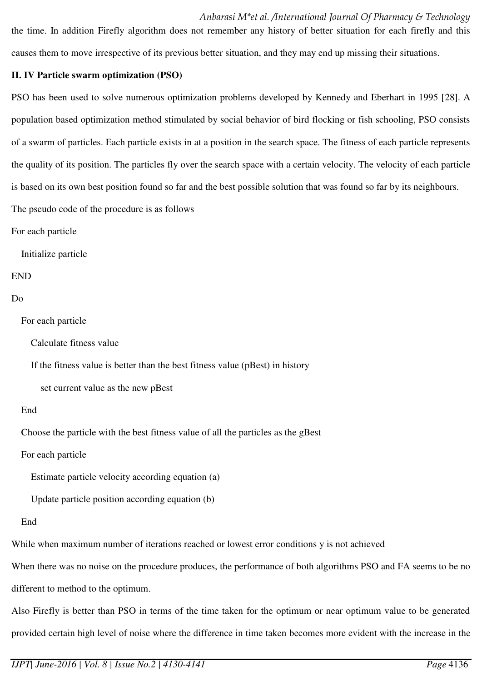#### *Anbarasi M\*et al. /International Journal Of Pharmacy & Technology*

the time. In addition Firefly algorithm does not remember any history of better situation for each firefly and this causes them to move irrespective of its previous better situation, and they may end up missing their situations.

#### **II. IV Particle swarm optimization (PSO)**

PSO has been used to solve numerous optimization problems developed by Kennedy and Eberhart in 1995 [28]. A population based optimization method stimulated by social behavior of bird flocking or fish schooling, PSO consists of a swarm of particles. Each particle exists in at a position in the search space. The fitness of each particle represents the quality of its position. The particles fly over the search space with a certain velocity. The velocity of each particle is based on its own best position found so far and the best possible solution that was found so far by its neighbours. The pseudo code of the procedure is as follows

For each particle

Initialize particle

# END

#### Do

For each particle

Calculate fitness value

If the fitness value is better than the best fitness value (pBest) in history

set current value as the new pBest

#### End

Choose the particle with the best fitness value of all the particles as the gBest

For each particle

Estimate particle velocity according equation (a)

Update particle position according equation (b)

#### End

While when maximum number of iterations reached or lowest error conditions y is not achieved

When there was no noise on the procedure produces, the performance of both algorithms PSO and FA seems to be no different to method to the optimum.

Also Firefly is better than PSO in terms of the time taken for the optimum or near optimum value to be generated provided certain high level of noise where the difference in time taken becomes more evident with the increase in the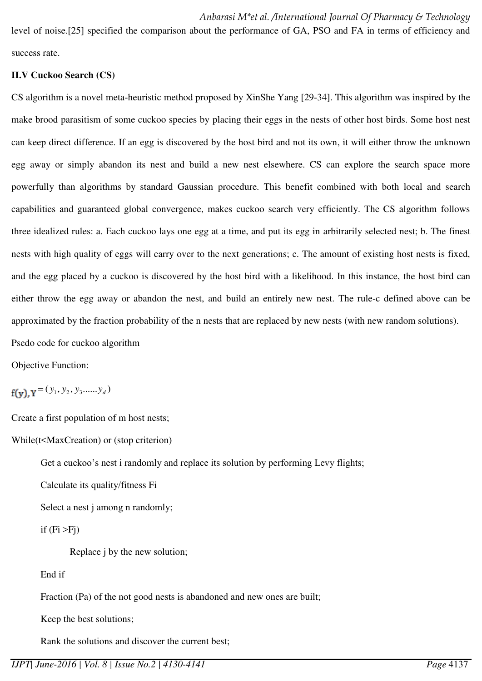level of noise.[25] specified the comparison about the performance of GA, PSO and FA in terms of efficiency and success rate.

# **II.V Cuckoo Search (CS)**

CS algorithm is a novel meta-heuristic method proposed by XinShe Yang [29-34]. This algorithm was inspired by the make brood parasitism of some cuckoo species by placing their eggs in the nests of other host birds. Some host nest can keep direct difference. If an egg is discovered by the host bird and not its own, it will either throw the unknown egg away or simply abandon its nest and build a new nest elsewhere. CS can explore the search space more powerfully than algorithms by standard Gaussian procedure. This benefit combined with both local and search capabilities and guaranteed global convergence, makes cuckoo search very efficiently. The CS algorithm follows three idealized rules: a. Each cuckoo lays one egg at a time, and put its egg in arbitrarily selected nest; b. The finest nests with high quality of eggs will carry over to the next generations; c. The amount of existing host nests is fixed, and the egg placed by a cuckoo is discovered by the host bird with a likelihood. In this instance, the host bird can either throw the egg away or abandon the nest, and build an entirely new nest. The rule-c defined above can be approximated by the fraction probability of the n nests that are replaced by new nests (with new random solutions).

Psedo code for cuckoo algorithm

Objective Function:

 $=(y_1, y_2, y_3, \dots, y_d)$ 

Create a first population of m host nests;

While(t<MaxCreation) or (stop criterion)

Get a cuckoo's nest i randomly and replace its solution by performing Levy flights;

Calculate its quality/fitness Fi

Select a nest *j* among *n* randomly;

if  $(Fi > Fj)$ 

Replace j by the new solution;

# End if

Fraction (Pa) of the not good nests is abandoned and new ones are built;

Keep the best solutions;

Rank the solutions and discover the current best;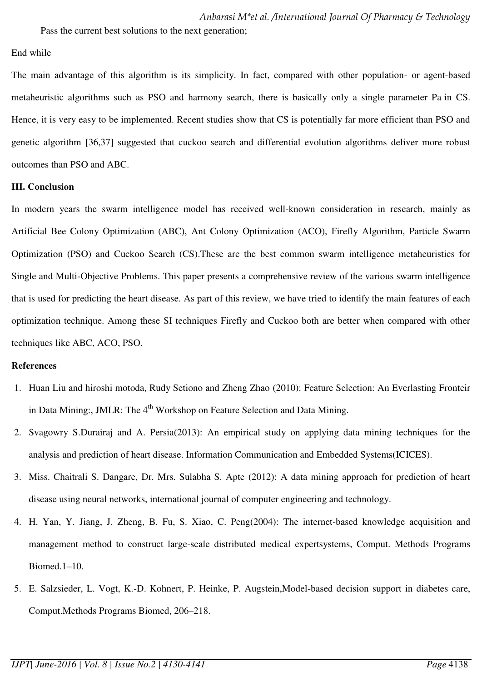Pass the current best solutions to the next generation;

#### End while

The main advantage of this algorithm is its simplicity. In fact, compared with other population- or agent-based metaheuristic algorithms such as PSO and harmony search, there is basically only a single parameter Pa in CS. Hence, it is very easy to be implemented. Recent studies show that CS is potentially far more efficient than PSO and genetic algorithm [36,37] suggested that cuckoo search and differential evolution algorithms deliver more robust outcomes than PSO and ABC.

# **III. Conclusion**

In modern years the swarm intelligence model has received well-known consideration in research, mainly as Artificial Bee Colony Optimization (ABC), Ant Colony Optimization (ACO), Firefly Algorithm, Particle Swarm Optimization (PSO) and Cuckoo Search (CS).These are the best common swarm intelligence metaheuristics for Single and Multi-Objective Problems. This paper presents a comprehensive review of the various swarm intelligence that is used for predicting the heart disease. As part of this review, we have tried to identify the main features of each optimization technique. Among these SI techniques Firefly and Cuckoo both are better when compared with other techniques like ABC, ACO, PSO.

#### **References**

- 1. Huan Liu and hiroshi motoda, Rudy Setiono and Zheng Zhao (2010): Feature Selection: An Everlasting Fronteir in Data Mining:, JMLR: The  $4<sup>th</sup>$  Workshop on Feature Selection and Data Mining.
- 2. Svagowry S.Durairaj and A. Persia(2013): An empirical study on applying data mining techniques for the analysis and prediction of heart disease. Information Communication and Embedded Systems(ICICES).
- 3. Miss. Chaitrali S. Dangare, Dr. Mrs. Sulabha S. Apte (2012): A data mining approach for prediction of heart disease using neural networks, international journal of computer engineering and technology.
- 4. H. Yan, Y. Jiang, J. Zheng, B. Fu, S. Xiao, C. Peng(2004): The internet-based knowledge acquisition and management method to construct large-scale distributed medical expertsystems, Comput. Methods Programs Biomed.1–10.
- 5. E. Salzsieder, L. Vogt, K.-D. Kohnert, P. Heinke, P. Augstein,Model-based decision support in diabetes care, Comput.Methods Programs Biomed, 206–218.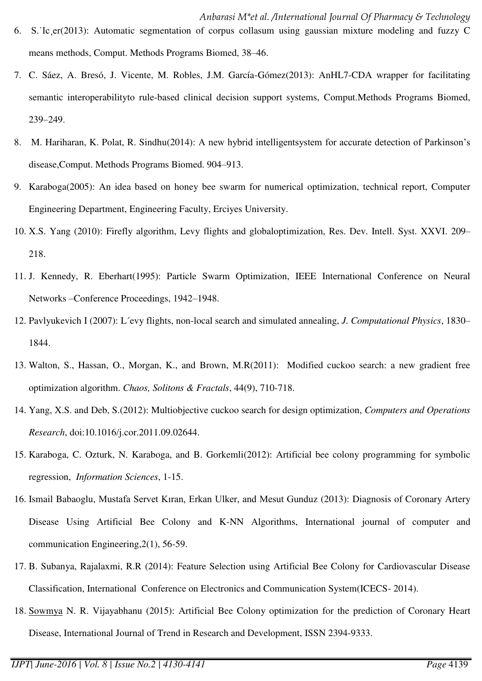- 6. S.˙Ic¸er(2013): Automatic segmentation of corpus collasum using gaussian mixture modeling and fuzzy C means methods, Comput. Methods Programs Biomed, 38–46.
- 7. C. Sáez, A. Bresó, J. Vicente, M. Robles, J.M. García-Gómez(2013): AnHL7-CDA wrapper for facilitating semantic interoperabilityto rule-based clinical decision support systems, Comput.Methods Programs Biomed, 239–249.
- 8. M. Hariharan, K. Polat, R. Sindhu(2014): A new hybrid intelligentsystem for accurate detection of Parkinson's disease,Comput. Methods Programs Biomed. 904–913.
- 9. Karaboga(2005): An idea based on honey bee swarm for numerical optimization, technical report, Computer Engineering Department, Engineering Faculty, Erciyes University.
- 10. X.S. Yang (2010): Firefly algorithm, Levy flights and globaloptimization, Res. Dev. Intell. Syst. XXVI. 209– 218.
- 11. J. Kennedy, R. Eberhart(1995): Particle Swarm Optimization, IEEE International Conference on Neural Networks –Conference Proceedings, 1942–1948.
- 12. Pavlyukevich I (2007): L´evy flights, non-local search and simulated annealing, *J. Computational Physics*, 1830– 1844.
- 13. Walton, S., Hassan, O., Morgan, K., and Brown, M.R(2011): Modified cuckoo search: a new gradient free optimization algorithm. *Chaos, Solitons & Fractals*, 44(9), 710-718.
- 14. Yang, X.S. and Deb, S.(2012): Multiobjective cuckoo search for design optimization, *Computers and Operations Research*, doi:10.1016/j.cor.2011.09.02644.
- 15. Karaboga, C. Ozturk, N. Karaboga, and B. Gorkemli(2012): Artificial bee colony programming for symbolic regression, *Information Sciences*, 1-15.
- 16. Ismail Babaoglu, Mustafa Servet Kıran, Erkan Ulker, and Mesut Gunduz (2013): Diagnosis of Coronary Artery Disease Using Artificial Bee Colony and K-NN Algorithms, International journal of computer and communication Engineering,2(1), 56-59.
- 17. B. Subanya, Rajalaxmi, R.R (2014): Feature Selection using Artificial Bee Colony for Cardiovascular Disease Classification, International Conference on Electronics and Communication System(ICECS- 2014).
- 18. Sowmya N. R. Vijayabhanu (2015): Artificial Bee Colony optimization for the prediction of Coronary Heart Disease, International Journal of Trend in Research and Development, ISSN 2394-9333.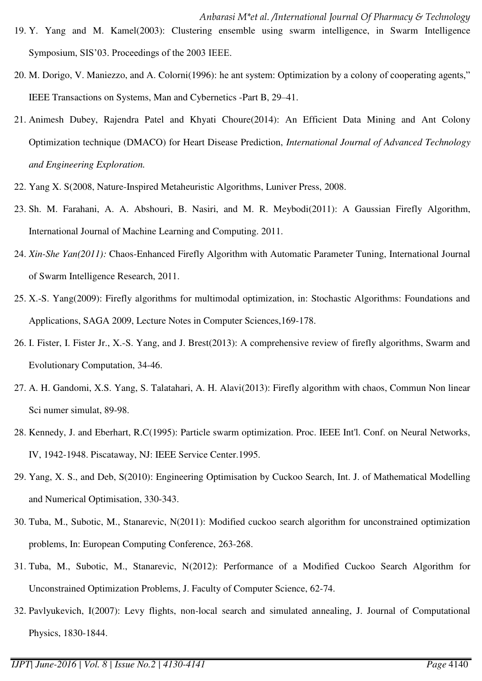- 19. Y. Yang and M. Kamel(2003): Clustering ensemble using swarm intelligence, in Swarm Intelligence Symposium, SIS'03. Proceedings of the 2003 IEEE.
- 20. M. Dorigo, V. Maniezzo, and A. Colorni(1996): he ant system: Optimization by a colony of cooperating agents," IEEE Transactions on Systems, Man and Cybernetics -Part B, 29–41.
- 21. Animesh Dubey, Rajendra Patel and Khyati Choure(2014): An Efficient Data Mining and Ant Colony Optimization technique (DMACO) for Heart Disease Prediction, *International Journal of Advanced Technology and Engineering Exploration.*
- 22. Yang X. S(2008, Nature-Inspired Metaheuristic Algorithms, Luniver Press, 2008.
- 23. Sh. M. Farahani, A. A. Abshouri, B. Nasiri, and M. R. Meybodi(2011): A Gaussian Firefly Algorithm, International Journal of Machine Learning and Computing. 2011.
- 24. *Xin-She Yan(2011):* Chaos-Enhanced Firefly Algorithm with Automatic Parameter Tuning, International Journal of Swarm Intelligence Research, 2011.
- 25. X.-S. Yang(2009): Firefly algorithms for multimodal optimization, in: Stochastic Algorithms: Foundations and Applications, SAGA 2009, Lecture Notes in Computer Sciences,169-178.
- 26. I. Fister, I. Fister Jr., X.-S. Yang, and J. Brest(2013): A comprehensive review of firefly algorithms, Swarm and Evolutionary Computation, 34-46.
- 27. A. H. Gandomi, X.S. Yang, S. Talatahari, A. H. Alavi(2013): Firefly algorithm with chaos, Commun Non linear Sci numer simulat, 89-98.
- 28. Kennedy, J. and Eberhart, R.C(1995): Particle swarm optimization. Proc. IEEE Int'l. Conf. on Neural Networks, IV, 1942-1948. Piscataway, NJ: IEEE Service Center.1995.
- 29. Yang, X. S., and Deb, S(2010): Engineering Optimisation by Cuckoo Search, Int. J. of Mathematical Modelling and Numerical Optimisation, 330-343.
- 30. Tuba, M., Subotic, M., Stanarevic, N(2011): Modified cuckoo search algorithm for unconstrained optimization problems, In: European Computing Conference, 263-268.
- 31. Tuba, M., Subotic, M., Stanarevic, N(2012): Performance of a Modified Cuckoo Search Algorithm for Unconstrained Optimization Problems, J. Faculty of Computer Science, 62-74.
- 32. Pavlyukevich, I(2007): Levy flights, non-local search and simulated annealing, J. Journal of Computational Physics, 1830-1844.